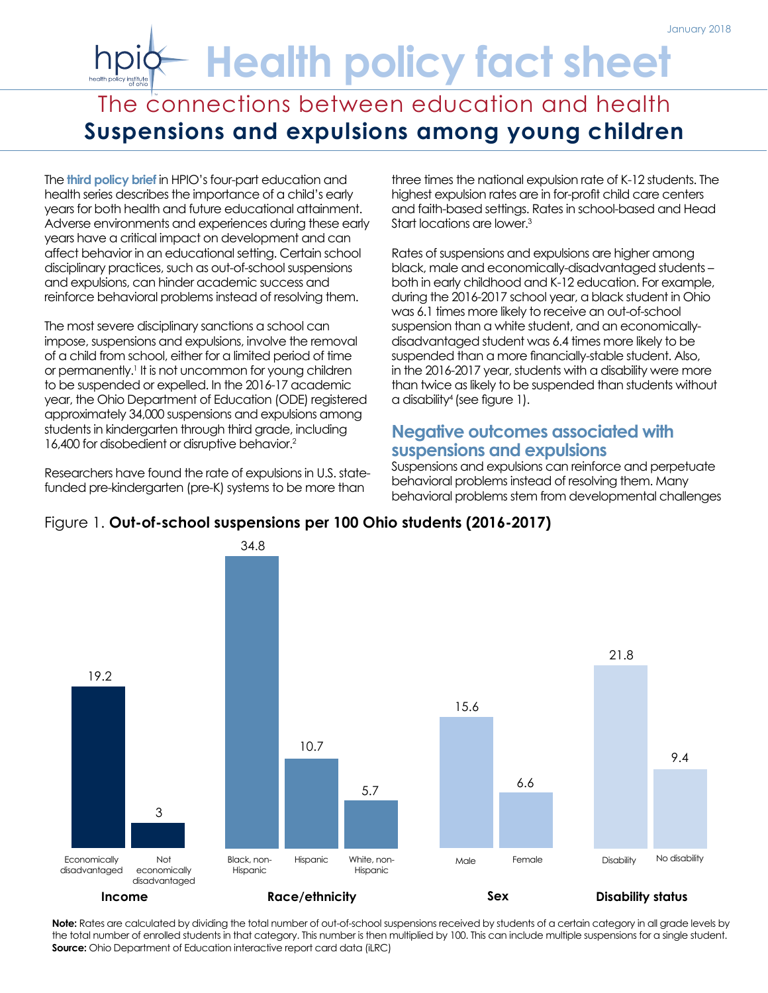# **Health policy fact sheet**

# The connections between education and health **Suspensions and expulsions among young children**

The **[third policy brief](http://www.healthpolicyohio.org/connections-between-education-and-health-no-3-the-importance-of-early-learning/)** in HPIO's four-part education and health series describes the importance of a child's early years for both health and future educational attainment. Adverse environments and experiences during these early years have a critical impact on development and can affect behavior in an educational setting. Certain school disciplinary practices, such as out-of-school suspensions and expulsions, can hinder academic success and reinforce behavioral problems instead of resolving them.

The most severe disciplinary sanctions a school can impose, suspensions and expulsions, involve the removal of a child from school, either for a limited period of time or permanently.<sup>1</sup> It is not uncommon for young children to be suspended or expelled. In the 2016-17 academic year, the Ohio Department of Education (ODE) registered approximately 34,000 suspensions and expulsions among students in kindergarten through third grade, including 16,400 for disobedient or disruptive behavior.2

Researchers have found the rate of expulsions in U.S. statefunded pre-kindergarten (pre-K) systems to be more than

three times the national expulsion rate of K-12 students. The highest expulsion rates are in for-profit child care centers and faith-based settings. Rates in school-based and Head Start locations are lower.3

Rates of suspensions and expulsions are higher among black, male and economically-disadvantaged students – both in early childhood and K-12 education. For example, during the 2016-2017 school year, a black student in Ohio was 6.1 times more likely to receive an out-of-school suspension than a white student, and an economicallydisadvantaged student was 6.4 times more likely to be suspended than a more financially-stable student. Also, in the 2016-2017 year, students with a disability were more than twice as likely to be suspended than students without a disability4 (see figure 1).

# **Negative outcomes associated with suspensions and expulsions**

Suspensions and expulsions can reinforce and perpetuate behavioral problems instead of resolving them. Many behavioral problems stem from developmental challenges



**Note:** Rates are calculated by dividing the total number of out-of-school suspensions received by students of a certain category in all grade levels by the total number of enrolled students in that category. This number is then multiplied by 100. This can include multiple suspensions for a single student. **Source:** Ohio Department of Education interactive report card data (iLRC)

#### Figure 1. **Out-of-school suspensions per 100 Ohio students (2016-2017)**